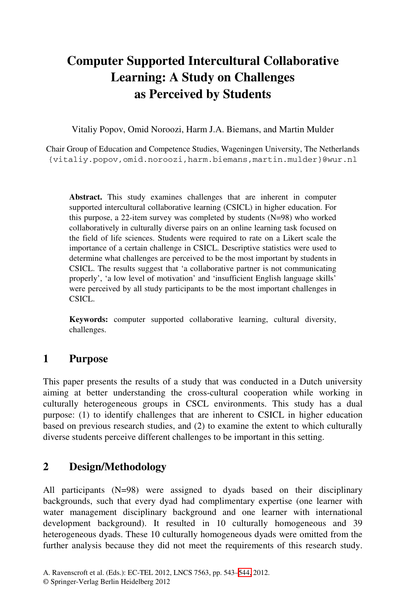# **Computer Supported Intercultural Collaborative Learning: A Study on Challenges as Perceived by Students**

Vitaliy Popov, Omid Noroozi, Harm J.A. Biemans, and Martin Mulder

Chair Group of Education and Competence Studies, Wageningen University, The Netherlands {vitaliy.popov,omid.noroozi,harm.biemans,martin.mulder}@wur.nl

**Abstract.** This study examines challenges that are inherent in computer supported intercultural collaborative learning (CSICL) in higher education. For this purpose, a 22-item survey was completed by students (N=98) who worked collaboratively in culturally diverse pairs on an online learning task focused on the field of life sciences. Students were required to rate on a Likert scale the importance of a certain challenge in CSICL. Descriptive statistics were used to determine what challenges are perceived to be the most important by students in CSICL. The results suggest that 'a collaborative partner is not communicating properly', 'a low level of motivation' and 'insufficient English language skills' were perceived by all study participants to be the most important challenges in CSICL.

**Keywords:** computer supported collaborative learning, cultural diversity, challenges.

#### **1 Purpose**

This paper presents the results of a study that was conducted in a Dutch university aiming at better understanding the cross-cultural cooperation while working in culturally heterogeneous groups in CSCL environments. This study has a dual purpose: (1) to identify challenges that are inherent to CSICL in higher education based on previous research studies, and (2) to examine the extent to which culturally diverse students perceive different challenges to be important in this setting.

### **2 Design/Methodology**

All participants (N=98) were [ass](#page-1-0)igned to dyads based on their disciplinary backgrounds, such that every dyad had complimentary expertise (one learner with water management disciplinary background and one learner with international development background). It resulted in 10 culturally homogeneous and 39 heterogeneous dyads. These 10 culturally homogeneous dyads were omitted from the further analysis because they did not meet the requirements of this research study.

A. Ravenscroft et al. (Eds.): EC-TEL 2012, LNCS 7563, pp. 543–544, 2012.

<sup>©</sup> Springer-Verlag Berlin Heidelberg 2012